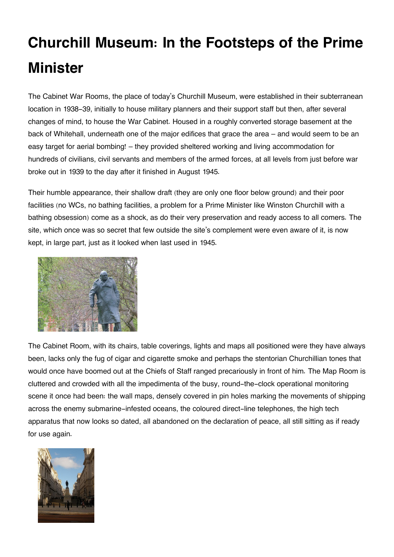## **Churchill Museum: In the Footsteps of the Prime Minister**

The Cabinet War Rooms, the place of today's Churchill Museum, were established in their subterranean location in 1938-39, initially to house military planners and their support staff but then, after several changes of mind, to house the War Cabinet. Housed in a roughly converted storage basement at the back of Whitehall, underneath one of the major edifices that grace the area – and would seem to be an easy target for aerial bombing! – they provided sheltered working and living accommodation for hundreds of civilians, civil servants and members of the armed forces, at all levels from just before war broke out in 1939 to the day after it finished in August 1945.

Their humble appearance, their shallow draft (they are only one floor below ground) and their poor facilities (no WCs, no bathing facilities, a problem for a Prime Minister like Winston Churchill with a bathing obsession) come as a shock, as do their very preservation and ready access to all comers. The site, which once was so secret that few outside the site's complement were even aware of it, is now kept, in large part, just as it looked when last used in 1945.



The Cabinet Room, with its chairs, table coverings, lights and maps all positioned were they have always been, lacks only the fug of cigar and cigarette smoke and perhaps the stentorian Churchillian tones that would once have boomed out at the Chiefs of Staff ranged precariously in front of him. The Map Room is cluttered and crowded with all the impedimenta of the busy, round-the-clock operational monitoring scene it once had been: the wall maps, densely covered in pin holes marking the movements of shipping across the enemy submarine-infested oceans, the coloured direct-line telephones, the high tech apparatus that now looks so dated, all abandoned on the declaration of peace, all still sitting as if ready for use again.